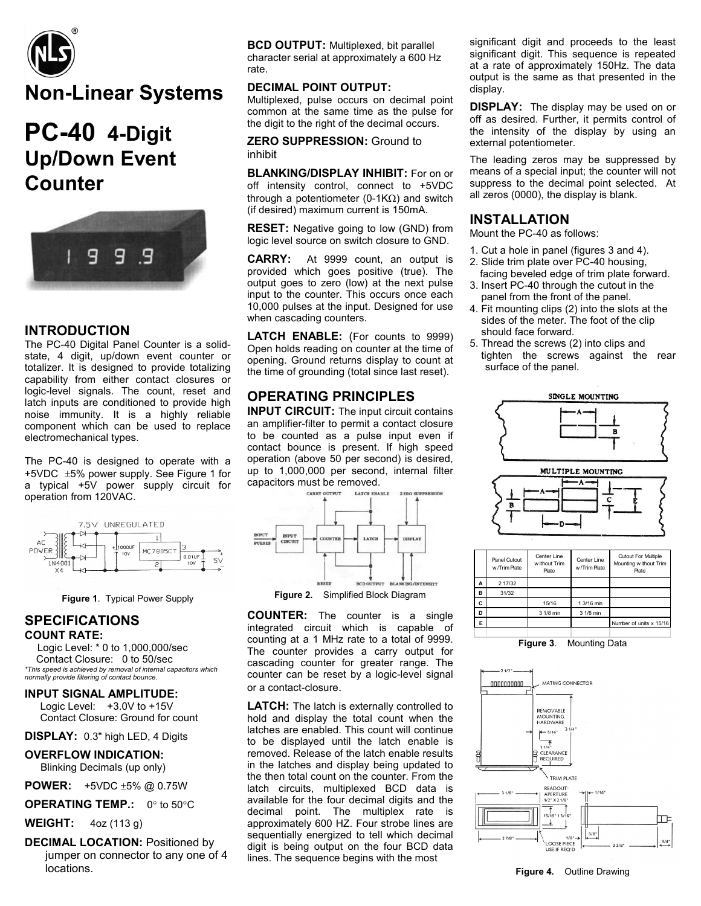

## **Non-Linear Systems**

# **PC-40 4-Digit Up/Down Event Counter**



### **INTRODUCTION**

The PC-40 Digital Panel Counter is a solidstate, 4 digit, up/down event counter or totalizer. It is designed to provide totalizing capability from either contact closures or logic-level signals. The count, reset and latch inputs are conditioned to provide high noise immunity. It is a highly reliable component which can be used to replace electromechanical types.

The PC-40 is designed to operate with a +5VDC ±5% power supply. See Figure 1 for a typical +5V power supply circuit for operation from 120VAC.





#### **SPECIFICATIONS COUNT RATE:**

 Logic Level: \* 0 to 1,000,000/sec Contact Closure: 0 to 50/sec *\*This speed is achieved by removal of internal capacitors which normally provide filtering of contact bounce*.

#### **INPUT SIGNAL AMPLITUDE:**

Logic Level: +3.0V to +15V Contact Closure: Ground for count

**DISPLAY:** 0.3" high LED, 4 Digits

**OVERFLOW INDICATION:** Blinking Decimals (up only)

**POWER:** +5VDC ±5% @ 0.75W

**OPERATING TEMP.:** 0° to 50°C

**WEIGHT:** 4oz (113 g)

**DECIMAL LOCATION:** Positioned by jumper on connector to any one of 4 locations.

**BCD OUTPUT:** Multiplexed, bit parallel character serial at approximately a 600 Hz rate.

#### **DECIMAL POINT OUTPUT:**

Multiplexed, pulse occurs on decimal point common at the same time as the pulse for the digit to the right of the decimal occurs.

**ZERO SUPPRESSION:** Ground to inhibit

**BLANKING/DISPLAY INHIBIT:** For on or off intensity control, connect to +5VDC through a potentiometer (0-1KΩ) and switch (if desired) maximum current is 150mA.

**RESET:** Negative going to low (GND) from logic level source on switch closure to GND.

**CARRY:** At 9999 count, an output is provided which goes positive (true). The output goes to zero (low) at the next pulse input to the counter. This occurs once each 10,000 pulses at the input. Designed for use when cascading counters.

LATCH ENABLE: (For counts to 9999) Open holds reading on counter at the time of opening. Ground returns display to count at the time of grounding (total since last reset).

## **OPERATING PRINCIPLES**

**INPUT CIRCUIT:** The input circuit contains an amplifier-filter to permit a contact closure to be counted as a pulse input even if contact bounce is present. If high speed operation (above 50 per second) is desired, up to 1,000,000 per second, internal filter capacitors must be removed.



**Figure 2.** Simplified Block Diagram

**COUNTER:** The counter is a single integrated circuit which is capable of counting at a 1 MHz rate to a total of 9999. The counter provides a carry output for cascading counter for greater range. The counter can be reset by a logic-level signal or a contact-closure.

**LATCH:** The latch is externally controlled to hold and display the total count when the latches are enabled. This count will continue to be displayed until the latch enable is removed. Release of the latch enable results in the latches and display being updated to the then total count on the counter. From the latch circuits, multiplexed BCD data is available for the four decimal digits and the decimal point. The multiplex rate is approximately 600 HZ. Four strobe lines are sequentially energized to tell which decimal digit is being output on the four BCD data lines. The sequence begins with the most

significant digit and proceeds to the least significant digit. This sequence is repeated at a rate of approximately 150Hz. The data output is the same as that presented in the display.

**DISPLAY:** The display may be used on or off as desired. Further, it permits control of the intensity of the display by using an external potentiometer.

The leading zeros may be suppressed by means of a special input; the counter will not suppress to the decimal point selected. At all zeros (0000), the display is blank.

#### **INSTALLATION**

Mount the PC-40 as follows:

- 1. Cut a hole in panel (figures 3 and 4).
- 2. Slide trim plate over PC-40 housing, facing beveled edge of trim plate forward.
- 3. Insert PC-40 through the cutout in the panel from the front of the panel.
- 4. Fit mounting clips (2) into the slots at the sides of the meter. The foot of the clip should face forward.
- 5. Thread the screws (2) into clips and tighten the screws against the rear surface of the panel.



|  |   | Panel Cutout<br>w /Trim Plate | Center Line<br>w ithout Trim<br>Plate | Center Line<br>w/Trim Plate | <b>Cutout For Multiple</b><br>Mounting without Trim<br>Plate |
|--|---|-------------------------------|---------------------------------------|-----------------------------|--------------------------------------------------------------|
|  | А | 2 17/32                       |                                       |                             |                                                              |
|  | B | 31/32                         |                                       |                             |                                                              |
|  | c |                               | 15/16                                 | 1 3/16 min                  |                                                              |
|  | D |                               | 3 1/8 min                             | 3 1/8 min                   |                                                              |
|  | E |                               |                                       |                             | Number of units x 15/16                                      |
|  |   |                               |                                       |                             |                                                              |

**Figure 3**. Mounting Data



**Figure 4.** Outline Drawing